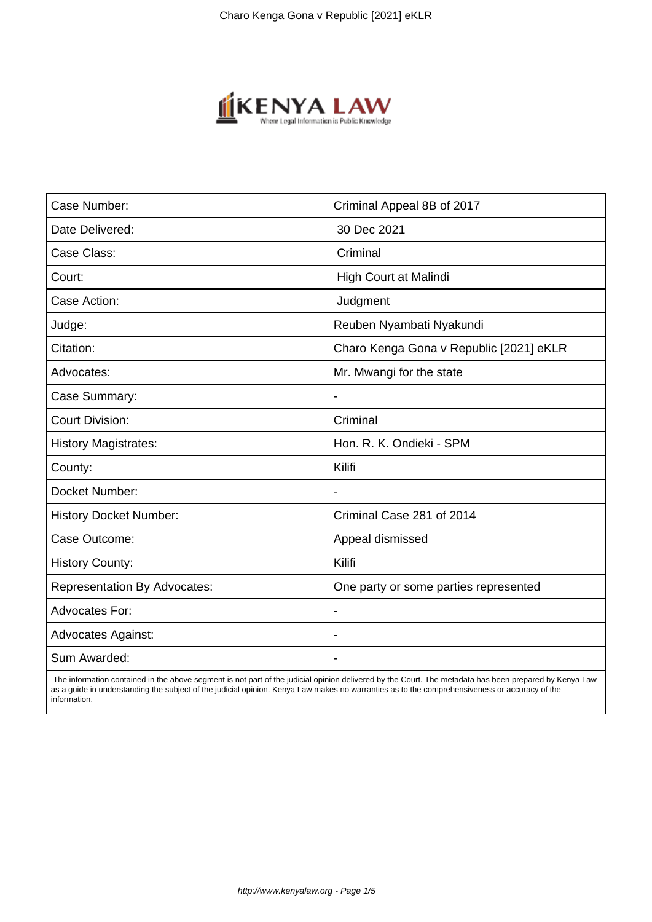

| Case Number:                        | Criminal Appeal 8B of 2017              |
|-------------------------------------|-----------------------------------------|
| Date Delivered:                     | 30 Dec 2021                             |
| Case Class:                         | Criminal                                |
| Court:                              | High Court at Malindi                   |
| Case Action:                        | Judgment                                |
| Judge:                              | Reuben Nyambati Nyakundi                |
| Citation:                           | Charo Kenga Gona v Republic [2021] eKLR |
| Advocates:                          | Mr. Mwangi for the state                |
| Case Summary:                       |                                         |
| <b>Court Division:</b>              | Criminal                                |
| <b>History Magistrates:</b>         | Hon. R. K. Ondieki - SPM                |
| County:                             | Kilifi                                  |
| Docket Number:                      |                                         |
| <b>History Docket Number:</b>       | Criminal Case 281 of 2014               |
| Case Outcome:                       | Appeal dismissed                        |
| <b>History County:</b>              | Kilifi                                  |
| <b>Representation By Advocates:</b> | One party or some parties represented   |
| <b>Advocates For:</b>               | $\blacksquare$                          |
| <b>Advocates Against:</b>           |                                         |
| Sum Awarded:                        |                                         |

 The information contained in the above segment is not part of the judicial opinion delivered by the Court. The metadata has been prepared by Kenya Law as a guide in understanding the subject of the judicial opinion. Kenya Law makes no warranties as to the comprehensiveness or accuracy of the information.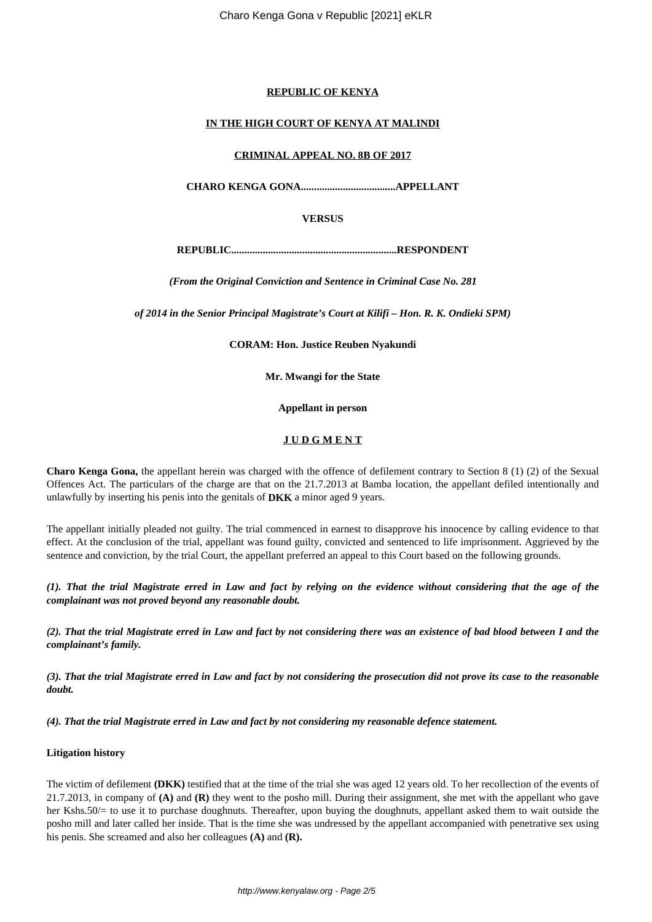# **REPUBLIC OF KENYA**

### **IN THE HIGH COURT OF KENYA AT MALINDI**

#### **CRIMINAL APPEAL NO. 8B OF 2017**

**CHARO KENGA GONA....................................APPELLANT**

**VERSUS**

**REPUBLIC...............................................................RESPONDENT**

*(From the Original Conviction and Sentence in Criminal Case No. 281*

*of 2014 in the Senior Principal Magistrate's Court at Kilifi – Hon. R. K. Ondieki SPM)*

**CORAM: Hon. Justice Reuben Nyakundi**

**Mr. Mwangi for the State**

**Appellant in person**

#### **J U D G M E N T**

**Charo Kenga Gona,** the appellant herein was charged with the offence of defilement contrary to Section 8 (1) (2) of the Sexual Offences Act. The particulars of the charge are that on the 21.7.2013 at Bamba location, the appellant defiled intentionally and unlawfully by inserting his penis into the genitals of **DKK** a minor aged 9 years.

The appellant initially pleaded not guilty. The trial commenced in earnest to disapprove his innocence by calling evidence to that effect. At the conclusion of the trial, appellant was found guilty, convicted and sentenced to life imprisonment. Aggrieved by the sentence and conviction, by the trial Court, the appellant preferred an appeal to this Court based on the following grounds.

*(1). That the trial Magistrate erred in Law and fact by relying on the evidence without considering that the age of the complainant was not proved beyond any reasonable doubt.*

*(2). That the trial Magistrate erred in Law and fact by not considering there was an existence of bad blood between I and the complainant's family.*

*(3). That the trial Magistrate erred in Law and fact by not considering the prosecution did not prove its case to the reasonable doubt.* 

*(4). That the trial Magistrate erred in Law and fact by not considering my reasonable defence statement.*

#### **Litigation history**

The victim of defilement **(DKK)** testified that at the time of the trial she was aged 12 years old. To her recollection of the events of 21.7.2013, in company of **(A)** and **(R)** they went to the posho mill. During their assignment, she met with the appellant who gave her Kshs.50/= to use it to purchase doughnuts. Thereafter, upon buying the doughnuts, appellant asked them to wait outside the posho mill and later called her inside. That is the time she was undressed by the appellant accompanied with penetrative sex using his penis. She screamed and also her colleagues **(A)** and **(R).**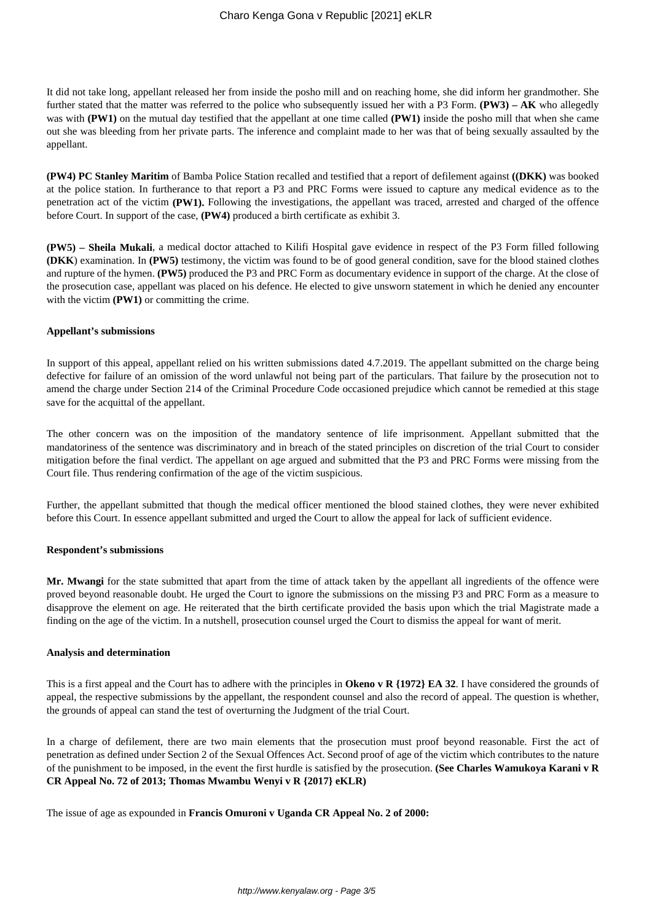It did not take long, appellant released her from inside the posho mill and on reaching home, she did inform her grandmother. She further stated that the matter was referred to the police who subsequently issued her with a P3 Form. **(PW3) – AK** who allegedly was with **(PW1)** on the mutual day testified that the appellant at one time called **(PW1)** inside the posho mill that when she came out she was bleeding from her private parts. The inference and complaint made to her was that of being sexually assaulted by the appellant.

**(PW4) PC Stanley Maritim** of Bamba Police Station recalled and testified that a report of defilement against **((DKK)** was booked at the police station. In furtherance to that report a P3 and PRC Forms were issued to capture any medical evidence as to the penetration act of the victim **(PW1).** Following the investigations, the appellant was traced, arrested and charged of the offence before Court. In support of the case, **(PW4)** produced a birth certificate as exhibit 3.

**(PW5) – Sheila Mukali**, a medical doctor attached to Kilifi Hospital gave evidence in respect of the P3 Form filled following **(DKK**) examination. In **(PW5)** testimony, the victim was found to be of good general condition, save for the blood stained clothes and rupture of the hymen. **(PW5)** produced the P3 and PRC Form as documentary evidence in support of the charge. At the close of the prosecution case, appellant was placed on his defence. He elected to give unsworn statement in which he denied any encounter with the victim **(PW1)** or committing the crime.

#### **Appellant's submissions**

In support of this appeal, appellant relied on his written submissions dated 4.7.2019. The appellant submitted on the charge being defective for failure of an omission of the word unlawful not being part of the particulars. That failure by the prosecution not to amend the charge under Section 214 of the Criminal Procedure Code occasioned prejudice which cannot be remedied at this stage save for the acquittal of the appellant.

The other concern was on the imposition of the mandatory sentence of life imprisonment. Appellant submitted that the mandatoriness of the sentence was discriminatory and in breach of the stated principles on discretion of the trial Court to consider mitigation before the final verdict. The appellant on age argued and submitted that the P3 and PRC Forms were missing from the Court file. Thus rendering confirmation of the age of the victim suspicious.

Further, the appellant submitted that though the medical officer mentioned the blood stained clothes, they were never exhibited before this Court. In essence appellant submitted and urged the Court to allow the appeal for lack of sufficient evidence.

#### **Respondent's submissions**

**Mr. Mwangi** for the state submitted that apart from the time of attack taken by the appellant all ingredients of the offence were proved beyond reasonable doubt. He urged the Court to ignore the submissions on the missing P3 and PRC Form as a measure to disapprove the element on age. He reiterated that the birth certificate provided the basis upon which the trial Magistrate made a finding on the age of the victim. In a nutshell, prosecution counsel urged the Court to dismiss the appeal for want of merit.

#### **Analysis and determination**

This is a first appeal and the Court has to adhere with the principles in **Okeno v R {1972} EA 32**. I have considered the grounds of appeal, the respective submissions by the appellant, the respondent counsel and also the record of appeal. The question is whether, the grounds of appeal can stand the test of overturning the Judgment of the trial Court.

In a charge of defilement, there are two main elements that the prosecution must proof beyond reasonable. First the act of penetration as defined under Section 2 of the Sexual Offences Act. Second proof of age of the victim which contributes to the nature of the punishment to be imposed, in the event the first hurdle is satisfied by the prosecution. **(See Charles Wamukoya Karani v R CR Appeal No. 72 of 2013; Thomas Mwambu Wenyi v R {2017} eKLR)**

The issue of age as expounded in **Francis Omuroni v Uganda CR Appeal No. 2 of 2000:**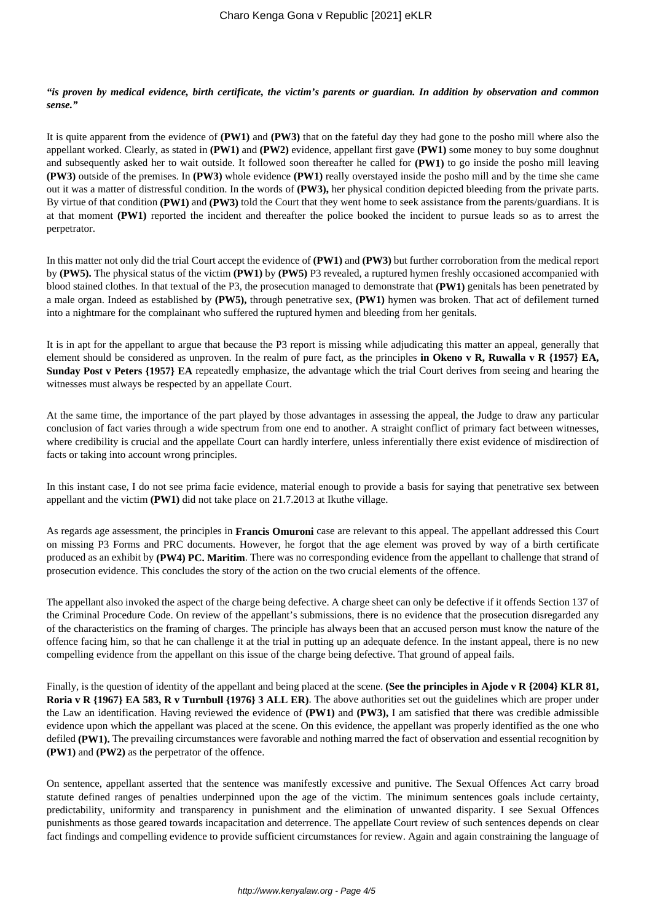# *"is proven by medical evidence, birth certificate, the victim's parents or guardian. In addition by observation and common sense."*

It is quite apparent from the evidence of **(PW1)** and **(PW3)** that on the fateful day they had gone to the posho mill where also the appellant worked. Clearly, as stated in **(PW1)** and **(PW2)** evidence, appellant first gave **(PW1)** some money to buy some doughnut and subsequently asked her to wait outside. It followed soon thereafter he called for **(PW1)** to go inside the posho mill leaving **(PW3)** outside of the premises. In **(PW3)** whole evidence **(PW1)** really overstayed inside the posho mill and by the time she came out it was a matter of distressful condition. In the words of **(PW3),** her physical condition depicted bleeding from the private parts. By virtue of that condition **(PW1)** and **(PW3)** told the Court that they went home to seek assistance from the parents/guardians. It is at that moment **(PW1)** reported the incident and thereafter the police booked the incident to pursue leads so as to arrest the perpetrator.

In this matter not only did the trial Court accept the evidence of **(PW1)** and **(PW3)** but further corroboration from the medical report by **(PW5).** The physical status of the victim **(PW1)** by **(PW5)** P3 revealed, a ruptured hymen freshly occasioned accompanied with blood stained clothes. In that textual of the P3, the prosecution managed to demonstrate that **(PW1)** genitals has been penetrated by a male organ. Indeed as established by **(PW5),** through penetrative sex, **(PW1)** hymen was broken. That act of defilement turned into a nightmare for the complainant who suffered the ruptured hymen and bleeding from her genitals.

It is in apt for the appellant to argue that because the P3 report is missing while adjudicating this matter an appeal, generally that element should be considered as unproven. In the realm of pure fact, as the principles **in Okeno v R, Ruwalla v R {1957} EA, Sunday Post v Peters {1957} EA** repeatedly emphasize, the advantage which the trial Court derives from seeing and hearing the witnesses must always be respected by an appellate Court.

At the same time, the importance of the part played by those advantages in assessing the appeal, the Judge to draw any particular conclusion of fact varies through a wide spectrum from one end to another. A straight conflict of primary fact between witnesses, where credibility is crucial and the appellate Court can hardly interfere, unless inferentially there exist evidence of misdirection of facts or taking into account wrong principles.

In this instant case, I do not see prima facie evidence, material enough to provide a basis for saying that penetrative sex between appellant and the victim **(PW1)** did not take place on 21.7.2013 at Ikuthe village.

As regards age assessment, the principles in **Francis Omuroni** case are relevant to this appeal. The appellant addressed this Court on missing P3 Forms and PRC documents. However, he forgot that the age element was proved by way of a birth certificate produced as an exhibit by **(PW4) PC. Maritim**. There was no corresponding evidence from the appellant to challenge that strand of prosecution evidence. This concludes the story of the action on the two crucial elements of the offence.

The appellant also invoked the aspect of the charge being defective. A charge sheet can only be defective if it offends Section 137 of the Criminal Procedure Code. On review of the appellant's submissions, there is no evidence that the prosecution disregarded any of the characteristics on the framing of charges. The principle has always been that an accused person must know the nature of the offence facing him, so that he can challenge it at the trial in putting up an adequate defence. In the instant appeal, there is no new compelling evidence from the appellant on this issue of the charge being defective. That ground of appeal fails.

Finally, is the question of identity of the appellant and being placed at the scene. **(See the principles in Ajode v R {2004} KLR 81, Roria v R {1967} EA 583, R v Turnbull {1976} 3 ALL ER)**. The above authorities set out the guidelines which are proper under the Law an identification. Having reviewed the evidence of **(PW1)** and **(PW3),** I am satisfied that there was credible admissible evidence upon which the appellant was placed at the scene. On this evidence, the appellant was properly identified as the one who defiled **(PW1).** The prevailing circumstances were favorable and nothing marred the fact of observation and essential recognition by **(PW1)** and **(PW2)** as the perpetrator of the offence.

On sentence, appellant asserted that the sentence was manifestly excessive and punitive. The Sexual Offences Act carry broad statute defined ranges of penalties underpinned upon the age of the victim. The minimum sentences goals include certainty, predictability, uniformity and transparency in punishment and the elimination of unwanted disparity. I see Sexual Offences punishments as those geared towards incapacitation and deterrence. The appellate Court review of such sentences depends on clear fact findings and compelling evidence to provide sufficient circumstances for review. Again and again constraining the language of